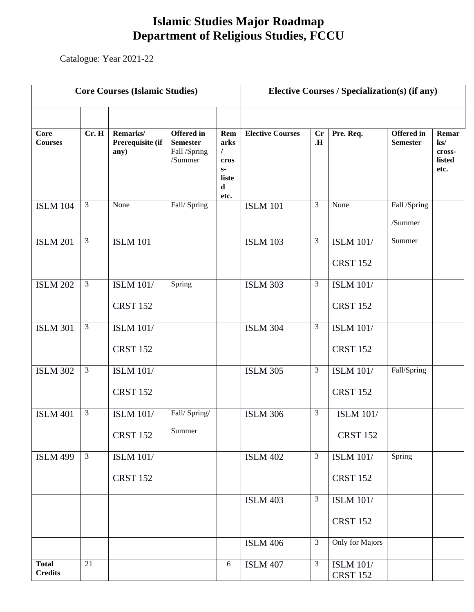## **Islamic Studies Major Roadmap Department of Religious Studies, FCCU**

Catalogue: Year 2021-22

| <b>Core Courses (Islamic Studies)</b> |                |                                      |                                                                 | <b>Elective Courses / Specialization(s) (if any)</b>            |                         |                |                                     |                                      |                                                      |
|---------------------------------------|----------------|--------------------------------------|-----------------------------------------------------------------|-----------------------------------------------------------------|-------------------------|----------------|-------------------------------------|--------------------------------------|------------------------------------------------------|
|                                       |                |                                      |                                                                 |                                                                 |                         |                |                                     |                                      |                                                      |
| Core<br><b>Courses</b>                | Cr. H          | Remarks/<br>Prerequisite (if<br>any) | <b>Offered</b> in<br><b>Semester</b><br>Fall /Spring<br>/Summer | Rem<br>arks<br>$\sqrt{2}$<br>cros<br>$S-$<br>liste<br>d<br>etc. | <b>Elective Courses</b> | Cr<br>Н.       | Pre. Req.                           | <b>Offered</b> in<br><b>Semester</b> | Remar<br>$\mathbf{k}$ s/<br>cross-<br>listed<br>etc. |
| <b>ISLM 104</b>                       | 3              | None                                 | Fall/Spring                                                     |                                                                 | <b>ISLM 101</b>         | 3              | None                                | Fall /Spring<br>/Summer              |                                                      |
| <b>ISLM 201</b>                       | 3              | <b>ISLM 101</b>                      |                                                                 |                                                                 | <b>ISLM 103</b>         | 3              | <b>ISLM 101/</b><br><b>CRST 152</b> | Summer                               |                                                      |
| <b>ISLM 202</b>                       | $\mathfrak{Z}$ | <b>ISLM 101/</b><br><b>CRST 152</b>  | Spring                                                          |                                                                 | <b>ISLM 303</b>         | 3              | <b>ISLM 101/</b><br><b>CRST 152</b> |                                      |                                                      |
| <b>ISLM 301</b>                       | $\mathfrak{Z}$ | <b>ISLM 101/</b><br><b>CRST 152</b>  |                                                                 |                                                                 | <b>ISLM 304</b>         | 3              | <b>ISLM 101/</b><br><b>CRST 152</b> |                                      |                                                      |
| <b>ISLM 302</b>                       | 3              | <b>ISLM 101/</b><br><b>CRST 152</b>  |                                                                 |                                                                 | <b>ISLM 305</b>         | $\mathfrak{Z}$ | <b>ISLM 101/</b><br><b>CRST 152</b> | Fall/Spring                          |                                                      |
| <b>ISLM 401</b>                       | 3              | <b>ISLM 101/</b><br><b>CRST 152</b>  | Fall/Spring/<br>Summer                                          |                                                                 | <b>ISLM 306</b>         | 3              | <b>ISLM 101/</b><br><b>CRST 152</b> |                                      |                                                      |
| <b>ISLM 499</b>                       | $\mathfrak{Z}$ | <b>ISLM 101/</b><br><b>CRST 152</b>  |                                                                 |                                                                 | <b>ISLM 402</b>         | 3              | <b>ISLM 101/</b><br><b>CRST 152</b> | Spring                               |                                                      |
|                                       |                |                                      |                                                                 |                                                                 | <b>ISLM 403</b>         | 3              | <b>ISLM 101/</b><br><b>CRST 152</b> |                                      |                                                      |
|                                       |                |                                      |                                                                 |                                                                 | <b>ISLM 406</b>         | 3              | Only for Majors                     |                                      |                                                      |
| <b>Total</b><br><b>Credits</b>        | 21             |                                      |                                                                 | 6                                                               | <b>ISLM 407</b>         | 3              | <b>ISLM 101/</b><br><b>CRST 152</b> |                                      |                                                      |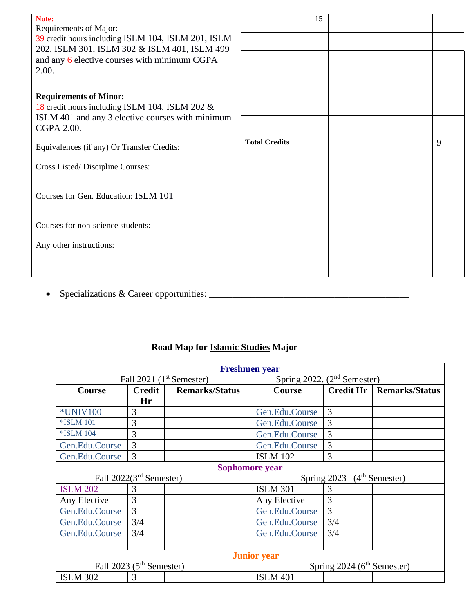| Note:                                              |                      | 15 |  |   |
|----------------------------------------------------|----------------------|----|--|---|
| Requirements of Major:                             |                      |    |  |   |
|                                                    |                      |    |  |   |
| 39 credit hours including ISLM 104, ISLM 201, ISLM |                      |    |  |   |
| 202, ISLM 301, ISLM 302 & ISLM 401, ISLM 499       |                      |    |  |   |
| and any 6 elective courses with minimum CGPA       |                      |    |  |   |
|                                                    |                      |    |  |   |
| 2.00.                                              |                      |    |  |   |
|                                                    |                      |    |  |   |
|                                                    |                      |    |  |   |
| <b>Requirements of Minor:</b>                      |                      |    |  |   |
|                                                    |                      |    |  |   |
| 18 credit hours including ISLM 104, ISLM 202 &     |                      |    |  |   |
| ISLM 401 and any 3 elective courses with minimum   |                      |    |  |   |
|                                                    |                      |    |  |   |
| CGPA 2.00.                                         |                      |    |  |   |
|                                                    | <b>Total Credits</b> |    |  |   |
| Equivalences (if any) Or Transfer Credits:         |                      |    |  | 9 |
|                                                    |                      |    |  |   |
|                                                    |                      |    |  |   |
| Cross Listed/Discipline Courses:                   |                      |    |  |   |
|                                                    |                      |    |  |   |
|                                                    |                      |    |  |   |
|                                                    |                      |    |  |   |
| Courses for Gen. Education: ISLM 101               |                      |    |  |   |
|                                                    |                      |    |  |   |
|                                                    |                      |    |  |   |
|                                                    |                      |    |  |   |
| Courses for non-science students:                  |                      |    |  |   |
|                                                    |                      |    |  |   |
| Any other instructions:                            |                      |    |  |   |
|                                                    |                      |    |  |   |
|                                                    |                      |    |  |   |
|                                                    |                      |    |  |   |
|                                                    |                      |    |  |   |

• Specializations & Career opportunities: \_\_\_\_\_\_\_\_\_\_\_\_\_\_\_\_\_\_\_\_\_\_\_\_\_\_\_\_\_\_\_\_\_\_\_\_\_\_\_\_\_\_\_

## **Road Map for Islamic Studies Major**

| <b>Freshmen</b> year                                                    |               |                       |                                         |                                        |                       |  |
|-------------------------------------------------------------------------|---------------|-----------------------|-----------------------------------------|----------------------------------------|-----------------------|--|
| Fall 2021 $(1st$ Semester)                                              |               |                       | Spring 2022. (2 <sup>nd</sup> Semester) |                                        |                       |  |
| Course                                                                  | <b>Credit</b> | <b>Remarks/Status</b> | <b>Course</b>                           | Credit Hr                              | <b>Remarks/Status</b> |  |
|                                                                         | Hr            |                       |                                         |                                        |                       |  |
| <b>*UNIV100</b>                                                         | 3             |                       | Gen.Edu.Course                          | 3                                      |                       |  |
| <b>*ISLM 101</b>                                                        | 3             |                       | Gen.Edu.Course                          | 3                                      |                       |  |
| <b>*ISLM 104</b>                                                        | 3             |                       | Gen.Edu.Course                          | 3                                      |                       |  |
| Gen.Edu.Course                                                          | 3             |                       | Gen.Edu.Course                          | 3                                      |                       |  |
| Gen.Edu.Course                                                          | 3             |                       | <b>ISLM 102</b>                         | 3                                      |                       |  |
| Sophomore year                                                          |               |                       |                                         |                                        |                       |  |
| Fall 2022(3 <sup>rd</sup> Semester)                                     |               |                       |                                         | Spring 2023 (4 <sup>th</sup> Semester) |                       |  |
| <b>ISLM 202</b>                                                         | 3             |                       | <b>ISLM 301</b>                         | 3                                      |                       |  |
| Any Elective                                                            | 3             |                       | Any Elective                            | 3                                      |                       |  |
| Gen.Edu.Course                                                          | 3             |                       | Gen.Edu.Course                          | 3                                      |                       |  |
| Gen.Edu.Course                                                          | 3/4           |                       | Gen.Edu.Course                          | 3/4                                    |                       |  |
| Gen.Edu.Course                                                          | 3/4           |                       | Gen.Edu.Course                          | 3/4                                    |                       |  |
|                                                                         |               |                       |                                         |                                        |                       |  |
| <b>Junior</b> year                                                      |               |                       |                                         |                                        |                       |  |
| Fall 2023 (5 <sup>th</sup> Semester)<br>Spring $2024$ ( $6th$ Semester) |               |                       |                                         |                                        |                       |  |
| <b>ISLM 302</b>                                                         | 3             |                       | <b>ISLM 401</b>                         |                                        |                       |  |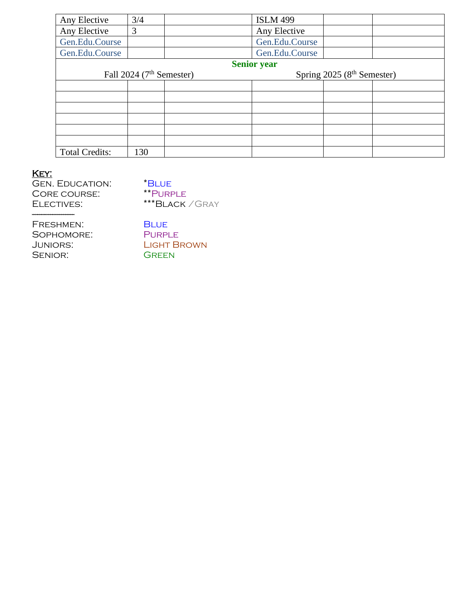| Any Elective          | 3/4                        | <b>ISLM 499</b>    |                             |  |
|-----------------------|----------------------------|--------------------|-----------------------------|--|
| Any Elective          | 3                          | Any Elective       |                             |  |
| Gen.Edu.Course        |                            | Gen.Edu.Course     |                             |  |
| Gen.Edu.Course        |                            | Gen.Edu.Course     |                             |  |
|                       |                            | <b>Senior year</b> |                             |  |
|                       | Fall 2024 $(7th$ Semester) |                    | Spring $2025(8th$ Semester) |  |
|                       |                            |                    |                             |  |
|                       |                            |                    |                             |  |
|                       |                            |                    |                             |  |
|                       |                            |                    |                             |  |
|                       |                            |                    |                             |  |
|                       |                            |                    |                             |  |
| <b>Total Credits:</b> | 130                        |                    |                             |  |

## Key:

-----------------------

| <b>GEN. EDUCATION:</b> | *BLUE         |
|------------------------|---------------|
| CORE COURSE:           | <b>**PURF</b> |
| ELECTIVES:             | $***$ BLA     |

E<br>RPLE ACK / GRAY

| FRESHMEN:  | <b>BLUE</b>        |
|------------|--------------------|
| SOPHOMORE: | <b>PURPLE</b>      |
| JUNIORS:   | <b>LIGHT BROWN</b> |
| SENIOR:    | <b>GREEN</b>       |